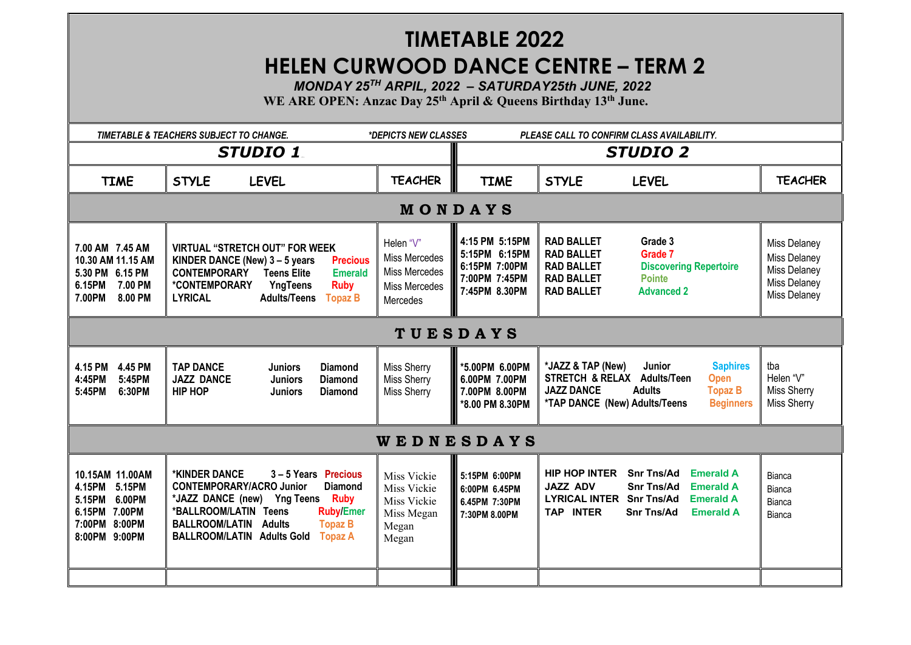## **TIMETABLE 2022**

## **HELEN CURWOOD DANCE CENTRE – TERM 2**

 *MONDAY 25TH ARPIL, 2022 – SATURDAY25th JUNE, 2022*

**WE ARE OPEN: Anzac Day 25th April & Queens Birthday 13th June.**

|                                                                                                            | TIMETABLE & TEACHERS SUBJECT TO CHANGE.                                                                                                                                                                                                                                                                | *DEPICTS NEW CLASSES                                                            | PLEASE CALL TO CONFIRM CLASS AVAILABILITY.                                          |                                                                                                                                                                                                                                        |                                                                              |  |  |
|------------------------------------------------------------------------------------------------------------|--------------------------------------------------------------------------------------------------------------------------------------------------------------------------------------------------------------------------------------------------------------------------------------------------------|---------------------------------------------------------------------------------|-------------------------------------------------------------------------------------|----------------------------------------------------------------------------------------------------------------------------------------------------------------------------------------------------------------------------------------|------------------------------------------------------------------------------|--|--|
| <b>STUDIO 1</b>                                                                                            |                                                                                                                                                                                                                                                                                                        |                                                                                 | <b>STUDIO 2</b>                                                                     |                                                                                                                                                                                                                                        |                                                                              |  |  |
| <b>TIME</b>                                                                                                | <b>STYLE</b><br><b>LEVEL</b>                                                                                                                                                                                                                                                                           | <b>TEACHER</b>                                                                  | <b>TIME</b>                                                                         | <b>STYLE</b><br><b>LEVEL</b>                                                                                                                                                                                                           | <b>TEACHER</b>                                                               |  |  |
| MONDAYS                                                                                                    |                                                                                                                                                                                                                                                                                                        |                                                                                 |                                                                                     |                                                                                                                                                                                                                                        |                                                                              |  |  |
| 7.00 AM 7.45 AM<br>10.30 AM 11.15 AM<br>5.30 PM 6.15 PM<br>7.00 PM<br>6.15PM<br>8.00 PM<br>7.00PM          | <b>VIRTUAL "STRETCH OUT" FOR WEEK</b><br>KINDER DANCE (New) $3 - 5$ years<br><b>Precious</b><br><b>CONTEMPORARY</b><br><b>Teens Elite</b><br><b>Emerald</b><br>*CONTEMPORARY<br>YngTeens<br><b>Ruby</b><br><b>LYRICAL</b><br><b>Adults/Teens</b><br><b>Topaz B</b>                                     | Helen "V"<br>Miss Mercedes<br>Miss Mercedes<br>Miss Mercedes<br><b>Mercedes</b> | 4:15 PM 5:15 PM<br>5:15PM 6:15PM<br>6:15PM 7:00PM<br>7:00PM 7:45PM<br>7:45PM 8.30PM | <b>RAD BALLET</b><br>Grade 3<br><b>RAD BALLET</b><br>Grade 7<br><b>RAD BALLET</b><br><b>Discovering Repertoire</b><br><b>RAD BALLET</b><br><b>Pointe</b><br><b>RAD BALLET</b><br><b>Advanced 2</b>                                     | Miss Delaney<br>Miss Delaney<br>Miss Delaney<br>Miss Delaney<br>Miss Delaney |  |  |
| <b>TUESDAYS</b>                                                                                            |                                                                                                                                                                                                                                                                                                        |                                                                                 |                                                                                     |                                                                                                                                                                                                                                        |                                                                              |  |  |
| 4.15 PM 4.45 PM<br>4:45PM<br>5:45PM<br>5:45PM<br>6:30PM                                                    | <b>TAP DANCE</b><br><b>Juniors</b><br><b>Diamond</b><br><b>JAZZ DANCE</b><br><b>Juniors</b><br><b>Diamond</b><br><b>HIP HOP</b><br><b>Juniors</b><br><b>Diamond</b>                                                                                                                                    | Miss Sherry<br>Miss Sherry<br>Miss Sherry                                       | *5.00PM 6.00PM<br>6.00PM 7.00PM<br>7.00PM 8.00PM<br>*8.00 PM 8.30PM                 | *JAZZ & TAP (New)<br>Junior<br><b>Saphires</b><br><b>Adults/Teen</b><br>STRETCH & RELAX<br><b>Open</b><br><b>JAZZ DANCE</b><br><b>Adults</b><br><b>Topaz B</b><br>*TAP DANCE (New) Adults/Teens<br><b>Beginners</b>                    | tba<br>Helen "V"<br><b>Miss Sherry</b><br>Miss Sherry                        |  |  |
| <b>WEDNESDAYS</b>                                                                                          |                                                                                                                                                                                                                                                                                                        |                                                                                 |                                                                                     |                                                                                                                                                                                                                                        |                                                                              |  |  |
| 10.15AM 11.00AM<br>5.15PM<br>4.15PM<br>6.00PM<br>5.15PM<br>6.15PM 7.00PM<br>7:00PM 8:00PM<br>8:00PM 9:00PM | *KINDER DANCE<br>3-5 Years Precious<br><b>CONTEMPORARY/ACRO Junior</b><br><b>Diamond</b><br>*JAZZ DANCE (new) Yng Teens<br><b>Ruby</b><br>*BALLROOM/LATIN Teens<br><b>Ruby/Emer</b><br><b>BALLROOM/LATIN</b><br><b>Adults</b><br><b>Topaz B</b><br><b>BALLROOM/LATIN Adults Gold</b><br><b>Topaz A</b> | Miss Vickie<br>Miss Vickie<br>Miss Vickie<br>Miss Megan<br>Megan<br>Megan       | 5:15PM 6:00PM<br>6:00PM 6.45PM<br>6.45PM 7:30PM<br>7:30PM 8.00PM                    | <b>HIP HOP INTER</b><br><b>Snr Tns/Ad</b><br><b>Emerald A</b><br><b>JAZZ ADV</b><br><b>Snr Tns/Ad</b><br><b>Emerald A</b><br>LYRICAL INTER Snr Tns/Ad<br><b>Emerald A</b><br><b>TAP INTER</b><br><b>Snr Tns/Ad</b><br><b>Emerald A</b> | Bianca<br>Bianca<br>Bianca<br>Bianca                                         |  |  |
|                                                                                                            |                                                                                                                                                                                                                                                                                                        |                                                                                 |                                                                                     |                                                                                                                                                                                                                                        |                                                                              |  |  |